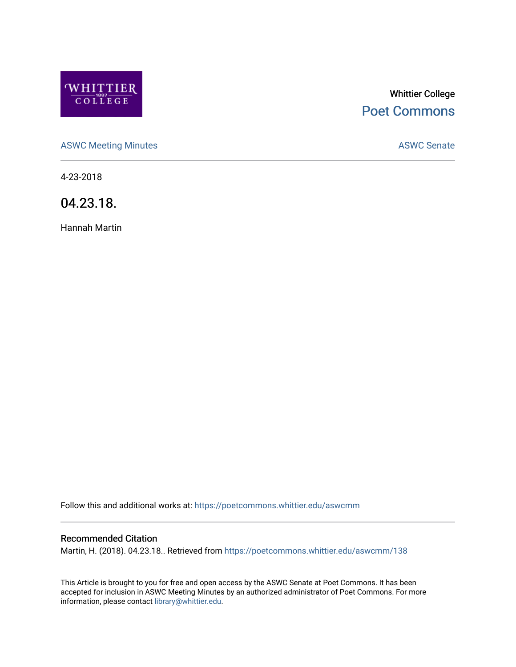

# Whittier College [Poet Commons](https://poetcommons.whittier.edu/)

[ASWC Meeting Minutes](https://poetcommons.whittier.edu/aswcmm) **ASWC Senate** 

4-23-2018

04.23.18.

Hannah Martin

Follow this and additional works at: [https://poetcommons.whittier.edu/aswcmm](https://poetcommons.whittier.edu/aswcmm?utm_source=poetcommons.whittier.edu%2Faswcmm%2F138&utm_medium=PDF&utm_campaign=PDFCoverPages)

#### Recommended Citation

Martin, H. (2018). 04.23.18.. Retrieved from [https://poetcommons.whittier.edu/aswcmm/138](https://poetcommons.whittier.edu/aswcmm/138?utm_source=poetcommons.whittier.edu%2Faswcmm%2F138&utm_medium=PDF&utm_campaign=PDFCoverPages) 

This Article is brought to you for free and open access by the ASWC Senate at Poet Commons. It has been accepted for inclusion in ASWC Meeting Minutes by an authorized administrator of Poet Commons. For more information, please contact [library@whittier.edu.](mailto:library@whittier.edu)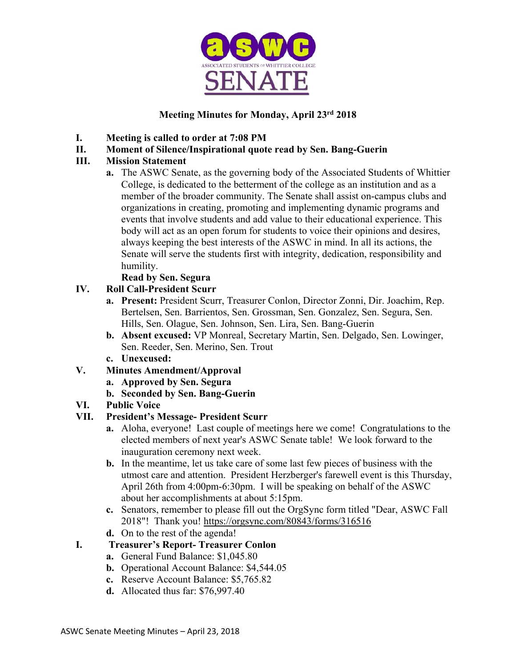

# **Meeting Minutes for Monday, April 23rd 2018**

- **I. Meeting is called to order at 7:08 PM**
- **II. Moment of Silence/Inspirational quote read by Sen. Bang-Guerin**

#### **III. Mission Statement**

**a.** The ASWC Senate, as the governing body of the Associated Students of Whittier College, is dedicated to the betterment of the college as an institution and as a member of the broader community. The Senate shall assist on-campus clubs and organizations in creating, promoting and implementing dynamic programs and events that involve students and add value to their educational experience. This body will act as an open forum for students to voice their opinions and desires, always keeping the best interests of the ASWC in mind. In all its actions, the Senate will serve the students first with integrity, dedication, responsibility and humility.

#### **Read by Sen. Segura**

# **IV. Roll Call-President Scurr**

- **a. Present:** President Scurr, Treasurer Conlon, Director Zonni, Dir. Joachim, Rep. Bertelsen, Sen. Barrientos, Sen. Grossman, Sen. Gonzalez, Sen. Segura, Sen. Hills, Sen. Olague, Sen. Johnson, Sen. Lira, Sen. Bang-Guerin
- **b. Absent excused:** VP Monreal, Secretary Martin, Sen. Delgado, Sen. Lowinger, Sen. Reeder, Sen. Merino, Sen. Trout
- **c. Unexcused:**

# **V. Minutes Amendment/Approval**

- **a. Approved by Sen. Segura**
- **b. Seconded by Sen. Bang-Guerin**

# **VI. Public Voice**

# **VII. President's Message- President Scurr**

- **a.** Aloha, everyone! Last couple of meetings here we come! Congratulations to the elected members of next year's ASWC Senate table! We look forward to the inauguration ceremony next week.
- **b.** In the meantime, let us take care of some last few pieces of business with the utmost care and attention. President Herzberger's farewell event is this Thursday, April 26th from 4:00pm-6:30pm. I will be speaking on behalf of the ASWC about her accomplishments at about 5:15pm.
- **c.** Senators, remember to please fill out the OrgSync form titled "Dear, ASWC Fall 2018"! Thank you! https://orgsync.com/80843/forms/316516
- **d.** On to the rest of the agenda!

# **I. Treasurer's Report- Treasurer Conlon**

- **a.** General Fund Balance: \$1,045.80
- **b.** Operational Account Balance: \$4,544.05
- **c.** Reserve Account Balance: \$5,765.82
- **d.** Allocated thus far: \$76,997.40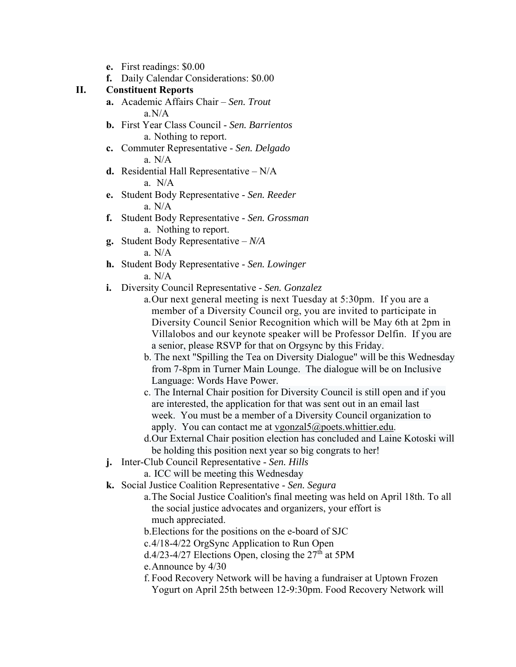- **e.** First readings: \$0.00
- **f.** Daily Calendar Considerations: \$0.00

#### **II. Constituent Reports**

- **a.** Academic Affairs Chair *Sen. Trout* a.N/A
- **b.** First Year Class Council *Sen. Barrientos* a. Nothing to report.
- **c.** Commuter Representative *Sen. Delgado* a. N/A
- **d.** Residential Hall Representative N/A a.N/A
- **e.** Student Body Representative *Sen. Reeder* a. N/A
- **f.** Student Body Representative *Sen. Grossman* a. Nothing to report.
- **g.** Student Body Representative *N/A* a. N/A
- **h.** Student Body Representative *Sen. Lowinger* a. N/A
- **i.** Diversity Council Representative *Sen. Gonzalez*
	- a.Our next general meeting is next Tuesday at 5:30pm. If you are a member of a Diversity Council org, you are invited to participate in Diversity Council Senior Recognition which will be May 6th at 2pm in Villalobos and our keynote speaker will be Professor Delfin. If you are a senior, please RSVP for that on Orgsync by this Friday.
	- b. The next "Spilling the Tea on Diversity Dialogue" will be this Wednesday from 7-8pm in Turner Main Lounge. The dialogue will be on Inclusive Language: Words Have Power.
	- c. The Internal Chair position for Diversity Council is still open and if you are interested, the application for that was sent out in an email last week. You must be a member of a Diversity Council organization to apply. You can contact me at vgonzal5@poets.whittier.edu.
	- d.Our External Chair position election has concluded and Laine Kotoski will be holding this position next year so big congrats to her!
- **j.** Inter-Club Council Representative *Sen. Hills*
	- a. ICC will be meeting this Wednesday
- **k.** Social Justice Coalition Representative *Sen. Segura*
	- a.The Social Justice Coalition's final meeting was held on April 18th. To all the social justice advocates and organizers, your effort is much appreciated.
	- b.Elections for the positions on the e-board of SJC
	- c.4/18-4/22 OrgSync Application to Run Open
	- d.4/23-4/27 Elections Open, closing the  $27<sup>th</sup>$  at 5PM
	- e.Announce by 4/30
	- f. Food Recovery Network will be having a fundraiser at Uptown Frozen Yogurt on April 25th between 12-9:30pm. Food Recovery Network will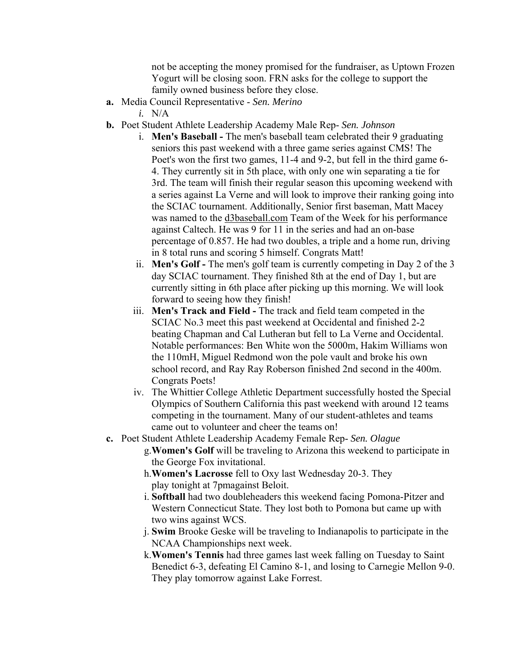not be accepting the money promised for the fundraiser, as Uptown Frozen Yogurt will be closing soon. FRN asks for the college to support the family owned business before they close.

- **a.** Media Council Representative *Sen. Merino* 
	- *i.* N/A
- **b.** Poet Student Athlete Leadership Academy Male Rep- *Sen. Johnson*
	- i. **Men's Baseball** The men's baseball team celebrated their 9 graduating seniors this past weekend with a three game series against CMS! The Poet's won the first two games, 11-4 and 9-2, but fell in the third game 6- 4. They currently sit in 5th place, with only one win separating a tie for 3rd. The team will finish their regular season this upcoming weekend with a series against La Verne and will look to improve their ranking going into the SCIAC tournament. Additionally, Senior first baseman, Matt Macey was named to the d3baseball.com Team of the Week for his performance against Caltech. He was 9 for 11 in the series and had an on-base percentage of 0.857. He had two doubles, a triple and a home run, driving in 8 total runs and scoring 5 himself. Congrats Matt!
	- ii. **Men's Golf** The men's golf team is currently competing in Day 2 of the 3 day SCIAC tournament. They finished 8th at the end of Day 1, but are currently sitting in 6th place after picking up this morning. We will look forward to seeing how they finish!
	- iii. **Men's Track and Field** The track and field team competed in the SCIAC No.3 meet this past weekend at Occidental and finished 2-2 beating Chapman and Cal Lutheran but fell to La Verne and Occidental. Notable performances: Ben White won the 5000m, Hakim Williams won the 110mH, Miguel Redmond won the pole vault and broke his own school record, and Ray Ray Roberson finished 2nd second in the 400m. Congrats Poets!
	- iv. The Whittier College Athletic Department successfully hosted the Special Olympics of Southern California this past weekend with around 12 teams competing in the tournament. Many of our student-athletes and teams came out to volunteer and cheer the teams on!
- **c.** Poet Student Athlete Leadership Academy Female Rep- *Sen. Olague*
	- g.**Women's Golf** will be traveling to Arizona this weekend to participate in the George Fox invitational.
	- h.**Women's Lacrosse** fell to Oxy last Wednesday 20-3. They play tonight at 7pmagainst Beloit.
	- i. **Softball** had two doubleheaders this weekend facing Pomona-Pitzer and Western Connecticut State. They lost both to Pomona but came up with two wins against WCS.
	- j. **Swim** Brooke Geske will be traveling to Indianapolis to participate in the NCAA Championships next week.
	- k.**Women's Tennis** had three games last week falling on Tuesday to Saint Benedict 6-3, defeating El Camino 8-1, and losing to Carnegie Mellon 9-0. They play tomorrow against Lake Forrest.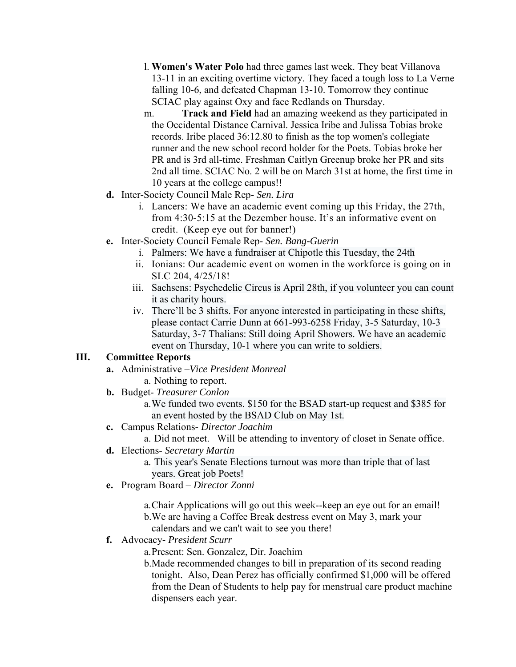- l. **Women's Water Polo** had three games last week. They beat Villanova 13-11 in an exciting overtime victory. They faced a tough loss to La Verne falling 10-6, and defeated Chapman 13-10. Tomorrow they continue SCIAC play against Oxy and face Redlands on Thursday.
- m. **Track and Field** had an amazing weekend as they participated in the Occidental Distance Carnival. Jessica Iribe and Julissa Tobias broke records. Iribe placed 36:12.80 to finish as the top women's collegiate runner and the new school record holder for the Poets. Tobias broke her PR and is 3rd all-time. Freshman Caitlyn Greenup broke her PR and sits 2nd all time. SCIAC No. 2 will be on March 31st at home, the first time in 10 years at the college campus!!
- **d.** Inter-Society Council Male Rep- *Sen. Lira*
	- i. Lancers: We have an academic event coming up this Friday, the 27th, from 4:30-5:15 at the Dezember house. It's an informative event on credit. (Keep eye out for banner!)
- **e.** Inter-Society Council Female Rep- *Sen. Bang-Guerin*
	- i. Palmers: We have a fundraiser at Chipotle this Tuesday, the 24th
	- ii. Ionians: Our academic event on women in the workforce is going on in SLC 204, 4/25/18!
	- iii. Sachsens: Psychedelic Circus is April 28th, if you volunteer you can count it as charity hours.
	- iv. There'll be 3 shifts. For anyone interested in participating in these shifts, please contact Carrie Dunn at 661-993-6258 Friday, 3-5 Saturday, 10-3 Saturday, 3-7 Thalians: Still doing April Showers. We have an academic event on Thursday, 10-1 where you can write to soldiers.

# **III. Committee Reports**

- **a.** Administrative –*Vice President Monreal*
	- a. Nothing to report.
- **b.** Budget- *Treasurer Conlon*
	- a.We funded two events. \$150 for the BSAD start-up request and \$385 for an event hosted by the BSAD Club on May 1st.
- **c.** Campus Relations- *Director Joachim*

a. Did not meet. Will be attending to inventory of closet in Senate office.

**d.** Elections- *Secretary Martin*

a. This year's Senate Elections turnout was more than triple that of last years. Great job Poets!

**e.** Program Board – *Director Zonni*

a.Chair Applications will go out this week--keep an eye out for an email! b.We are having a Coffee Break destress event on May 3, mark your

- calendars and we can't wait to see you there!
- **f.** Advocacy- *President Scurr*

a.Present: Sen. Gonzalez, Dir. Joachim

b.Made recommended changes to bill in preparation of its second reading tonight. Also, Dean Perez has officially confirmed \$1,000 will be offered from the Dean of Students to help pay for menstrual care product machine dispensers each year.